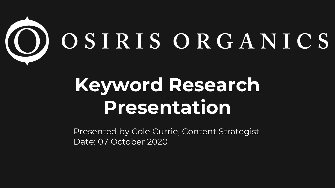

# **Keyword Research Presentation**

Presented by Cole Currie, Content Strategist Date: 07 October 2020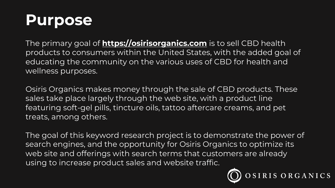#### **Purpose**

The primary goal of **https://osirisorganics.com** is products to consumers within the United States, educating the community on the various uses of wellness purposes.

Osiris Organics makes money through the sale of sales take place largely through the web site, with featuring soft-gel pills, tincture oils, tattoo afterca treats, among others.

The goal of this keyword research project is to de search engines, and the opportunity for Osiris Organics web site and offerings with search terms that cust using to increase product sales and website traffi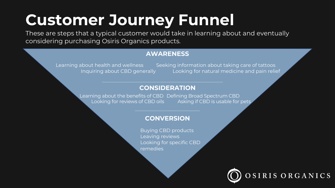### **Customer Journey Funnel**

These are steps that a typical customer would take in learning about and eventually considering purchasing Osiris Organics products.

#### **AWARENESS**

Learning about health and wellness Seeking information about taking care of tattoos Inquiring about CBD generally Looking for natural medicine and pain relief

#### **CONSIDERATION**

Learning about the benefits of CBD Defining Broad Spectrum CBD Looking for reviews of CBD oils Asking if CBD is usable for pets

#### **CONVERSION**

Buying CBD products Leaving reviews Looking for specific CBD remedies

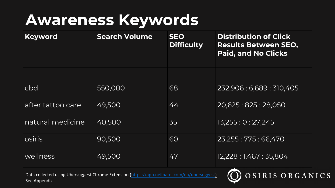#### **Awareness Keywords**

| <b>Keyword</b>    | <b>Search Volume</b> | <b>SEO</b><br><b>Difficulty</b> |
|-------------------|----------------------|---------------------------------|
|                   |                      |                                 |
| cbd               | 550,000              | 68                              |
| after tattoo care | 49,500               | 44                              |
| natural medicine  | 40,500               | 35                              |
| osiris            | 90,500               | 60                              |
| wellness          | 49,500               | 47                              |

Data collected using Ubersuggest Chrome Extension (https://app.neilpatel.com/en/ubersugges See Appendix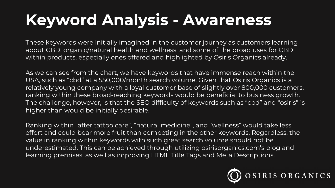## **Keyword Analysis - Awareness**

These keywords were initially imagined in the customer journey as customers learning about CBD, organic/natural health and wellness, and some of the broad uses for CBD within products, especially ones offered and highlighted by Osiris Organics already.

As we can see from the chart, we have keywords that have immense reach within the USA, such as "cbd" at a 550,000/month search volume. Given that Osiris Organics is a relatively young company with a loyal customer base of slightly over 800,000 customers, ranking within these broad-reaching keywords would be beneficial to business growth. The challenge, however, is that the SEO difficulty of keywords such as "cbd" and "osiris" is higher than would be initially desirable.

Ranking within "after tattoo care", "natural medicine", and "wellness" would take less effort and could bear more fruit than competing in the other keywords. Regardless, the value in ranking within keywords with such great search volume should not be underestimated. This can be achieved through utilizing osirisorganics.com's blog and learning premises, as well as improving HTML Title Tags and Meta Descriptions.

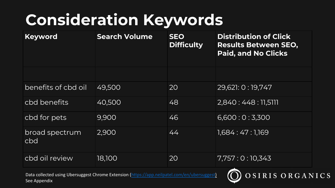### **Consideration Keyword**

| Keyword               | <b>Search Volume</b> | <b>SEO</b><br><b>Difficulty</b> |
|-----------------------|----------------------|---------------------------------|
|                       |                      |                                 |
| benefits of cbd oil   | 49,500               | 20                              |
| cbd benefits          | 40,500               | 48                              |
| cbd for pets          | 9,900                | 46                              |
| broad spectrum<br>cbd | 2,900                | 44                              |
| cbd oil review        | 18,100               | 20                              |

Data collected using Ubersuggest Chrome Extension (https://app.neilpatel.com/en/ubersugges See Appendix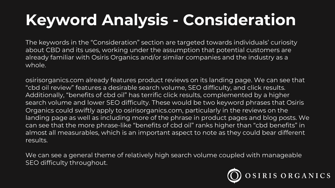# **Keyword Analysis - Consideration**

The keywords in the "Consideration" section are targeted towards individuals' curiosity about CBD and its uses, working under the assumption that potential customers are already familiar with Osiris Organics and/or similar companies and the industry as a whole.

osirisorganics.com already features product reviews on its landing page. We can see that "cbd oil review" features a desirable search volume, SEO difficulty, and click results. Additionally, "benefits of cbd oil" has terrific click results, complemented by a higher search volume and lower SEO difficulty. These would be two keyword phrases that Osiris Organics could swiftly apply to osirisorganics.com, particularly in the reviews on the landing page as well as including more of the phrase in product pages and blog posts. We can see that the more phrase-like "benefits of cbd oil" ranks higher than "cbd benefits" in almost all measurables, which is an important aspect to note as they could bear different results.

We can see a general theme of relatively high search volume coupled with manageable SEO difficulty throughout.

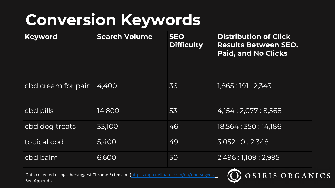### **Conversion Keywords**

| <b>Keyword</b>     | <b>Search Volume</b> | <b>SEO</b><br><b>Difficulty</b> |
|--------------------|----------------------|---------------------------------|
|                    |                      |                                 |
| cbd cream for pain | 4,400                | 36                              |
| cbd pills          | 14,800               | 53                              |
| cbd dog treats     | 33,100               | 46                              |
| topical cbd        | 5,400                | 49                              |
| cbd balm           | 6,600                | 50                              |

Data collected using Ubersuggest Chrome Extension (https://app.neilpatel.com/en/ubersugges See Appendix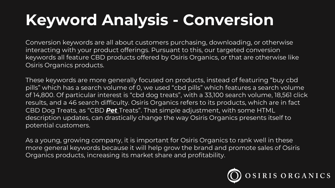# **Keyword Analysis - Conversion**

Conversion keywords are all about customers purchasing, downloading, or otherwise interacting with your product offerings. Pursuant to this, our targeted conversion keywords all feature CBD products offered by Osiris Organics, or that are otherwise like Osiris Organics products.

These keywords are more generally focused on products, instead of featuring "buy cbd pills" which has a search volume of 0, we used "cbd pills" which features a search volume of 14,800. Of particular interest is "cbd dog treats", with a 33,100 search volume, 18,561 click results, and a 46 search difficulty. Osiris Organics refers to its products, which are in fact CBD Dog Treats, as "CBD *Pet* Treats". That simple adjustment, with some HTML description updates, can drastically change the way Osiris Organics presents itself to potential customers.

As a young, growing company, it is important for Osiris Organics to rank well in these more general keywords because it will help grow the brand and promote sales of Osiris Organics products, increasing its market share and profitability.